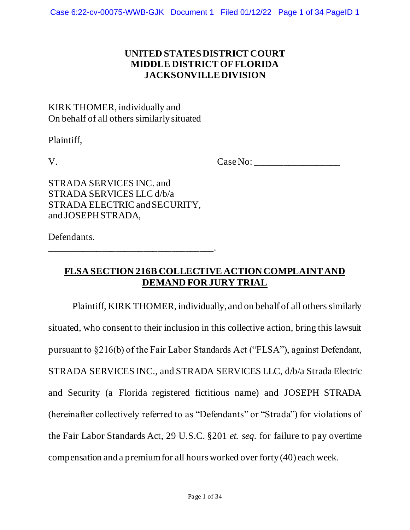### **UNITED STATES DISTRICT COURT MIDDLE DISTRICT OF FLORIDA JACKSONVILLE DIVISION**

## KIRK THOMER, individually and On behalf of all others similarly situated

Plaintiff,

V. Case No: \_\_\_\_\_\_\_\_\_\_\_\_\_\_\_\_\_\_

STRADA SERVICES INC. and STRADA SERVICES LLC d/b/a STRADA ELECTRIC and SECURITY, and JOSEPH STRADA,

Defendants.

\_\_\_\_\_\_\_\_\_\_\_\_\_\_\_\_\_\_\_\_\_\_\_\_\_\_\_\_\_\_\_\_\_\_\_.

## **FLSA SECTION 216B COLLECTIVE ACTION COMPLAINT AND DEMAND FOR JURY TRIAL**

Plaintiff, KIRK THOMER, individually, and on behalf of all others similarly situated, who consent to their inclusion in this collective action, bring this lawsuit pursuant to §216(b) of the Fair Labor Standards Act ("FLSA"), against Defendant, STRADA SERVICES INC., and STRADA SERVICES LLC, d/b/a Strada Electric and Security (a Florida registered fictitious name) and JOSEPH STRADA (hereinafter collectively referred to as "Defendants" or "Strada") for violations of the Fair Labor Standards Act, 29 U.S.C. §201 *et. seq.* for failure to pay overtime compensation and a premium for all hours worked over forty (40) each week.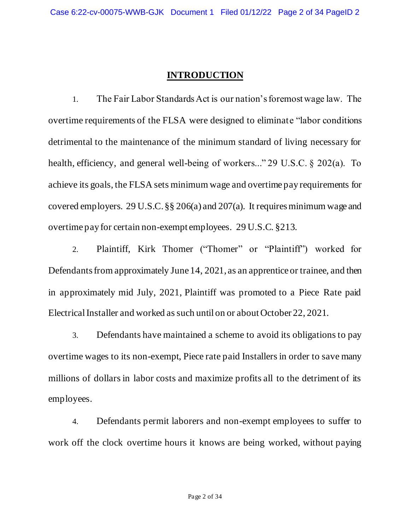### **INTRODUCTION**

1. The Fair Labor Standards Act is our nation's foremost wage law. The overtime requirements of the FLSA were designed to eliminate "labor conditions detrimental to the maintenance of the minimum standard of living necessary for health, efficiency, and general well-being of workers..." 29 U.S.C. § 202(a). To achieve its goals, the FLSA sets minimum wage and overtime pay requirements for covered employers. 29 U.S.C. §§ 206(a) and 207(a). It requires minimum wage and overtime pay for certain non-exempt employees. 29 U.S.C. §213.

2. Plaintiff, Kirk Thomer ("Thomer" or "Plaintiff") worked for Defendants from approximately June 14, 2021, as an apprentice or trainee, and then in approximately mid July, 2021, Plaintiff was promoted to a Piece Rate paid Electrical Installer and worked as such until on or about October 22, 2021.

3. Defendants have maintained a scheme to avoid its obligations to pay overtime wages to its non-exempt, Piece rate paid Installers in order to save many millions of dollars in labor costs and maximize profits all to the detriment of its employees.

4. Defendants permit laborers and non-exempt employees to suffer to work off the clock overtime hours it knows are being worked, without paying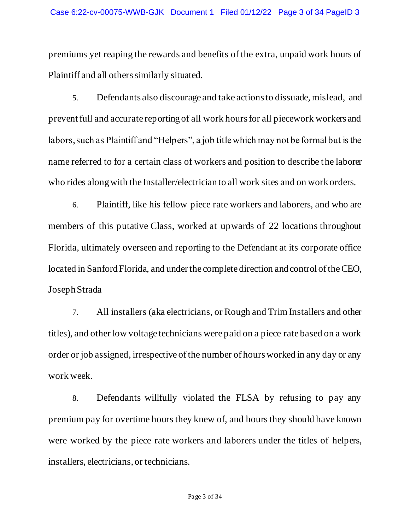premiums yet reaping the rewards and benefits of the extra, unpaid work hours of Plaintiff and all others similarly situated.

5. Defendants also discourage and take actions to dissuade, mislead, and prevent full and accurate reporting of all work hours for all piecework workers and labors, such as Plaintiff and "Helpers", a job title which may not be formal but is the name referred to for a certain class of workers and position to describe the laborer who rides along with the Installer/electrician to all work sites and on work orders.

6. Plaintiff, like his fellow piece rate workers and laborers, and who are members of this putative Class, worked at upwards of 22 locations throughout Florida, ultimately overseen and reporting to the Defendant at its corporate office located in Sanford Florida, and under the complete direction and control of the CEO, Joseph Strada

7. All installers (aka electricians, or Rough and Trim Installers and other titles), and other low voltage technicians were paid on a piece rate based on a work order or job assigned, irrespective of the number of hours worked in any day or any work week.

8. Defendants willfully violated the FLSA by refusing to pay any premium pay for overtime hours they knew of, and hours they should have known were worked by the piece rate workers and laborers under the titles of helpers, installers, electricians, or technicians.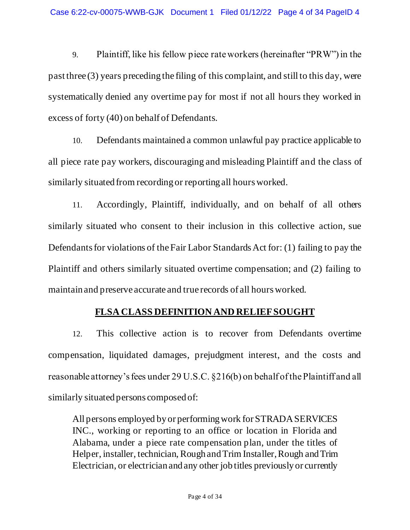9. Plaintiff, like his fellow piece rate workers (hereinafter "PRW") in the past three (3) years preceding the filing of this complaint, and still to this day, were systematically denied any overtime pay for most if not all hours they worked in excess of forty (40) on behalf of Defendants.

10. Defendants maintained a common unlawful pay practice applicable to all piece rate pay workers, discouraging and misleading Plaintiff and the class of similarly situated from recording or reporting all hours worked.

11. Accordingly, Plaintiff, individually, and on behalf of all others similarly situated who consent to their inclusion in this collective action, sue Defendants for violations of the Fair Labor Standards Act for: (1) failing to pay the Plaintiff and others similarly situated overtime compensation; and (2) failing to maintain and preserve accurate and true records of all hours worked.

# **FLSA CLASS DEFINITION AND RELIEF SOUGHT**

12. This collective action is to recover from Defendants overtime compensation, liquidated damages, prejudgment interest, and the costs and reasonable attorney's fees under 29 U.S.C. §216(b) on behalf of the Plaintiff and all similarly situated persons composed of:

All persons employed by or performing work for STRADA SERVICES INC., working or reporting to an office or location in Florida and Alabama, under a piece rate compensation plan, under the titles of Helper, installer, technician, Rough and Trim Installer, Rough and Trim Electrician, or electrician and any other job titles previously or currently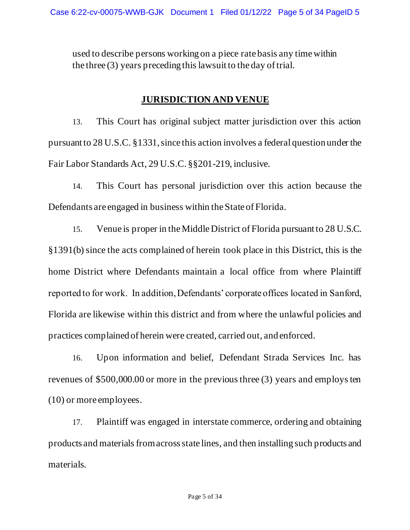used to describe persons working on a piece rate basis any time within the three (3) years preceding this lawsuit to the day of trial.

### **JURISDICTION AND VENUE**

13. This Court has original subject matter jurisdiction over this action pursuant to 28 U.S.C. §1331, since this action involves a federal question under the Fair Labor Standards Act, 29 U.S.C*.*§§201-219, inclusive.

14. This Court has personal jurisdiction over this action because the Defendants are engaged in business within the State of Florida.

15. Venue is proper in the Middle District of Florida pursuant to 28 U.S.C. §1391(b) since the acts complained of herein took place in this District, this is the home District where Defendants maintain a local office from where Plaintiff reported to for work. In addition, Defendants' corporate offices located in Sanford, Florida are likewise within this district and from where the unlawful policies and practices complained of herein were created, carried out, and enforced.

16. Upon information and belief, Defendant Strada Services Inc. has revenues of \$500,000.00 or more in the previous three (3) years and employs ten (10) or more employees.

17. Plaintiff was engaged in interstate commerce, ordering and obtaining products and materials from across state lines, and then installing such products and materials.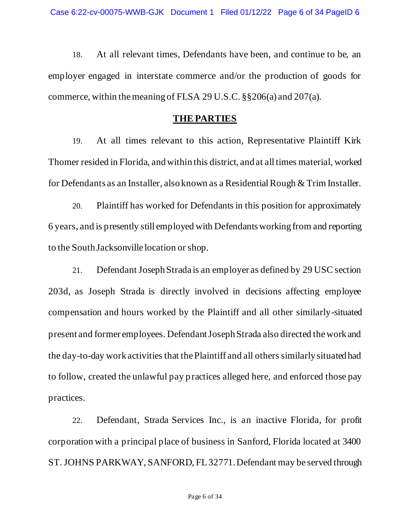18. At all relevant times, Defendants have been, and continue to be, an employer engaged in interstate commerce and/or the production of goods for commerce, within the meaning of FLSA 29 U.S.C. §§206(a) and 207(a).

#### **THE PARTIES**

19. At all times relevant to this action, Representative Plaintiff Kirk Thomer resided in Florida, and within this district, and at all times material, worked for Defendants as an Installer, also known as a Residential Rough & Trim Installer.

20. Plaintiff has worked for Defendants in this position for approximately 6 years, and is presently still employed with Defendants working from and reporting to the South Jacksonville location or shop.

21. Defendant Joseph Strada is an employer as defined by 29 USC section 203d, as Joseph Strada is directly involved in decisions affecting employee compensation and hours worked by the Plaintiff and all other similarly-situated present and former employees. Defendant Joseph Strada also directed the work and the day-to-day work activities that the Plaintiff and all others similarly situated had to follow, created the unlawful pay practices alleged here, and enforced those pay practices.

22. Defendant, Strada Services Inc., is an inactive Florida, for profit corporation with a principal place of business in Sanford, Florida located at 3400 ST. JOHNS PARKWAY, SANFORD, FL 32771. Defendant may be served through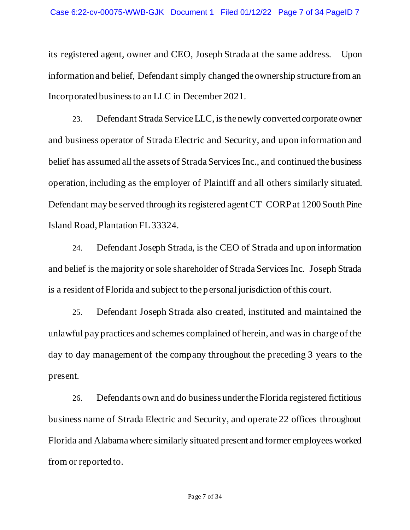its registered agent, owner and CEO, Joseph Strada at the same address. Upon information and belief, Defendant simply changed the ownership structure from an Incorporated business to an LLC in December 2021.

23. Defendant Strada Service LLC, is the newly converted corporate owner and business operator of Strada Electric and Security, and upon information and belief has assumed all the assets of Strada Services Inc., and continued the business operation, including as the employer of Plaintiff and all others similarly situated. Defendant may be served through its registered agent CT CORP at 1200 South Pine Island Road, Plantation FL 33324.

24. Defendant Joseph Strada, is the CEO of Strada and upon information and belief is the majority or sole shareholder of Strada Services Inc. Joseph Strada is a resident of Florida and subject to the personal jurisdiction of this court.

25. Defendant Joseph Strada also created, instituted and maintained the unlawful pay practices and schemes complained of herein, and was in charge of the day to day management of the company throughout the preceding 3 years to the present.

26. Defendants own and do business under the Florida registered fictitious business name of Strada Electric and Security, and operate 22 offices throughout Florida and Alabama where similarly situated present and former employees worked from or reported to.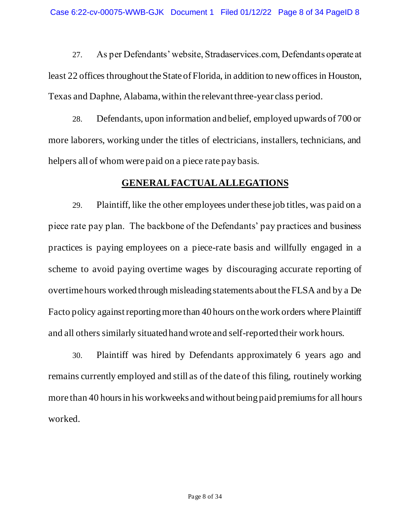27. As per Defendants' website, Stradaservices.com, Defendants operate at least 22 offices throughout the State of Florida, in addition to new offices in Houston, Texas and Daphne, Alabama, within the relevant three-year class period.

28. Defendants, upon information and belief, employed upwards of 700 or more laborers, working under the titles of electricians, installers, technicians, and helpers all of whom were paid on a piece rate pay basis.

### **GENERAL FACTUAL ALLEGATIONS**

29. Plaintiff, like the other employees under these job titles, was paid on a piece rate pay plan. The backbone of the Defendants' pay practices and business practices is paying employees on a piece-rate basis and willfully engaged in a scheme to avoid paying overtime wages by discouraging accurate reporting of overtime hours worked through misleading statements about the FLSA and by a De Facto policy against reporting more than 40 hours on the work orders where Plaintiff and all others similarly situated hand wrote and self-reported their work hours.

30. Plaintiff was hired by Defendants approximately 6 years ago and remains currently employed and still as of the date of this filing, routinely working more than 40 hours in his workweeks and without being paid premiums for all hours worked.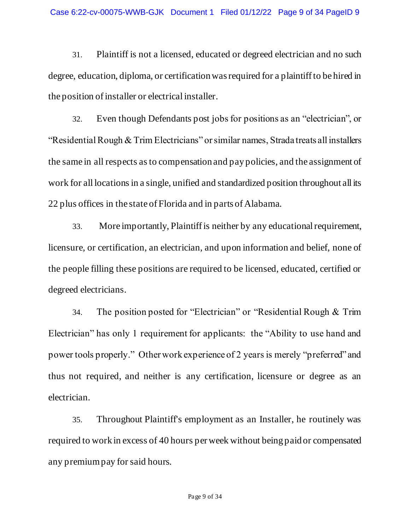31. Plaintiff is not a licensed, educated or degreed electrician and no such degree, education, diploma, or certification was required for a plaintiff to be hired in the position of installer or electrical installer.

32. Even though Defendants post jobs for positions as an "electrician", or "Residential Rough & Trim Electricians" or similar names, Strada treats all installers the same in all respects as to compensation and pay policies, and the assignment of work for all locations in a single, unified and standardized position throughout all its 22 plus offices in the state of Florida and in parts of Alabama.

33. More importantly, Plaintiff is neither by any educational requirement, licensure, or certification, an electrician, and upon information and belief, none of the people filling these positions are required to be licensed, educated, certified or degreed electricians.

34. The position posted for "Electrician" or "Residential Rough & Trim Electrician" has only 1 requirement for applicants: the "Ability to use hand and power tools properly." Other work experience of 2 years is merely "preferred" and thus not required, and neither is any certification, licensure or degree as an electrician.

35. Throughout Plaintiff's employment as an Installer, he routinely was required to work in excess of 40 hours per week without being paid or compensated any premium pay for said hours.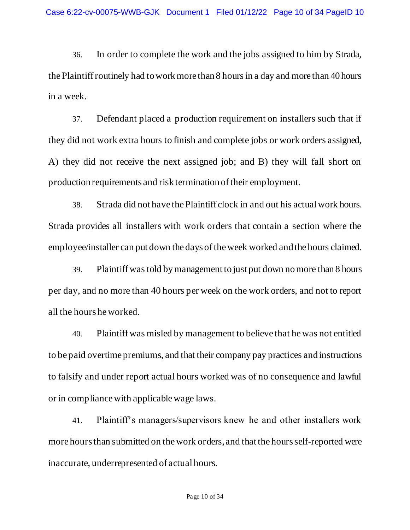36. In order to complete the work and the jobs assigned to him by Strada, the Plaintiff routinely had to work more than 8 hours in a day and more than 40 hours in a week.

37. Defendant placed a production requirement on installers such that if they did not work extra hours to finish and complete jobs or work orders assigned, A) they did not receive the next assigned job; and B) they will fall short on production requirements and risk termination of their employment.

38. Strada did not have the Plaintiff clock in and out his actual work hours. Strada provides all installers with work orders that contain a section where the employee/installer can put down the days of the week worked and the hours claimed.

39. Plaintiff was told by management to just put down no more than 8 hours per day, and no more than 40 hours per week on the work orders, and not to report all the hours he worked.

40. Plaintiff was misled by management to believe that he was not entitled to be paid overtime premiums, and that their company pay practices and instructions to falsify and under report actual hours worked was of no consequence and lawful or in compliance with applicable wage laws.

41. Plaintiff's managers/supervisors knew he and other installers work more hours than submitted on the work orders, and that the hours self-reported were inaccurate, underrepresented of actual hours.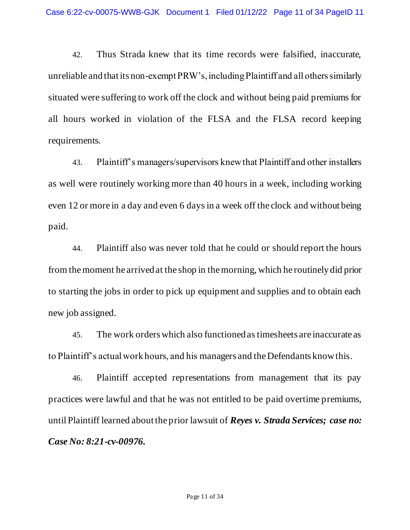42. Thus Strada knew that its time records were falsified, inaccurate, unreliable and that its non-exempt PRW's, including Plaintiff and all others similarly situated were suffering to work off the clock and without being paid premiums for all hours worked in violation of the FLSA and the FLSA record keeping requirements.

43. Plaintiff's managers/supervisors knew that Plaintiff and other installers as well were routinely working more than 40 hours in a week, including working even 12 or more in a day and even 6 days in a week off the clock and without being paid.

44. Plaintiff also was never told that he could or should report the hours from the moment he arrived at the shop in the morning, which he routinely did prior to starting the jobs in order to pick up equipment and supplies and to obtain each new job assigned.

45. The work orders which also functioned as timesheets are inaccurate as to Plaintiff's actual work hours, and his managers and the Defendants know this.

46. Plaintiff accepted representations from management that its pay practices were lawful and that he was not entitled to be paid overtime premiums, until Plaintiff learned about the prior lawsuit of *Reyes v. Strada Services; case no: Case No: 8:21-cv-00976.*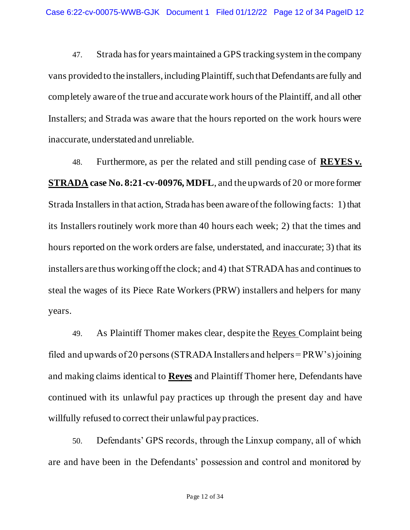47. Strada has for years maintained a GPS tracking system in the company vans provided to the installers, including Plaintiff, such that Defendants are fully and completely aware of the true and accurate work hours of the Plaintiff, and all other Installers; and Strada was aware that the hours reported on the work hours were inaccurate, understated and unreliable.

48. Furthermore, as per the related and still pending case of **REYES v. STRADA case No. 8:21-cv-00976, MDFL**, and the upwards of 20 or more former Strada Installers in that action, Strada has been aware of the following facts: 1) that its Installers routinely work more than 40 hours each week; 2) that the times and hours reported on the work orders are false, understated, and inaccurate; 3) that its installers are thus working off the clock; and 4) that STRADA has and continues to steal the wages of its Piece Rate Workers (PRW) installers and helpers for many years.

49. As Plaintiff Thomer makes clear, despite the Reyes Complaint being filed and upwards of 20 persons (STRADA Installers and helpers = PRW's) joining and making claims identical to **Reyes** and Plaintiff Thomer here, Defendants have continued with its unlawful pay practices up through the present day and have willfully refused to correct their unlawful pay practices.

50. Defendants' GPS records, through the Linxup company, all of which are and have been in the Defendants' possession and control and monitored by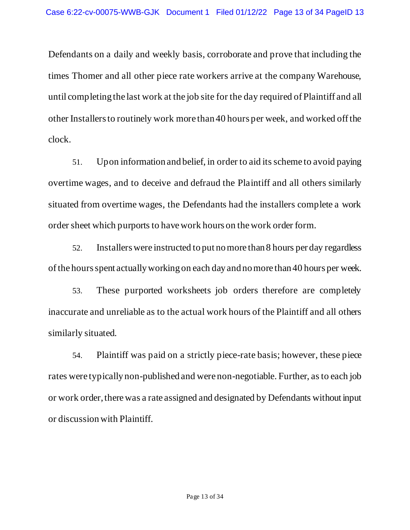Defendants on a daily and weekly basis, corroborate and prove that including the times Thomer and all other piece rate workers arrive at the company Warehouse, until completing the last work at the job site for the day required of Plaintiff and all other Installers to routinely work more than 40 hours per week, and worked off the clock.

51. Upon information and belief, in order to aid its scheme to avoid paying overtime wages, and to deceive and defraud the Plaintiff and all others similarly situated from overtime wages, the Defendants had the installers complete a work order sheet which purports to have work hours on the work order form.

52. Installers were instructed to put no more than 8 hours per day regardless of the hours spent actually working on each day and no more than 40 hours per week.

53. These purported worksheets job orders therefore are completely inaccurate and unreliable as to the actual work hours of the Plaintiff and all others similarly situated.

54. Plaintiff was paid on a strictly piece-rate basis; however, these piece rates were typically non-published and were non-negotiable. Further, as to each job or work order, there was a rate assigned and designated by Defendants without input or discussion with Plaintiff.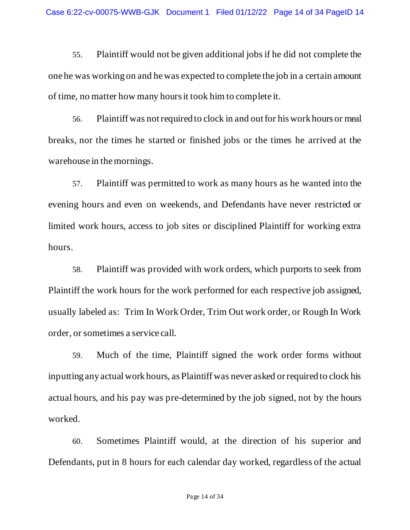55. Plaintiff would not be given additional jobs if he did not complete the one he was working on and he was expected to complete the job in a certain amount of time, no matter how many hours it took him to complete it.

56. Plaintiff was not required to clock in and out for his work hours or meal breaks, nor the times he started or finished jobs or the times he arrived at the warehouse in the mornings.

57. Plaintiff was permitted to work as many hours as he wanted into the evening hours and even on weekends, and Defendants have never restricted or limited work hours, access to job sites or disciplined Plaintiff for working extra hours.

58. Plaintiff was provided with work orders, which purports to seek from Plaintiff the work hours for the work performed for each respective job assigned, usually labeled as: Trim In Work Order, Trim Out work order, or Rough In Work order, or sometimes a service call.

59. Much of the time, Plaintiff signed the work order forms without inputting any actual work hours, as Plaintiff was never asked or required to clock his actual hours, and his pay was pre-determined by the job signed, not by the hours worked.

60. Sometimes Plaintiff would, at the direction of his superior and Defendants, put in 8 hours for each calendar day worked, regardless of the actual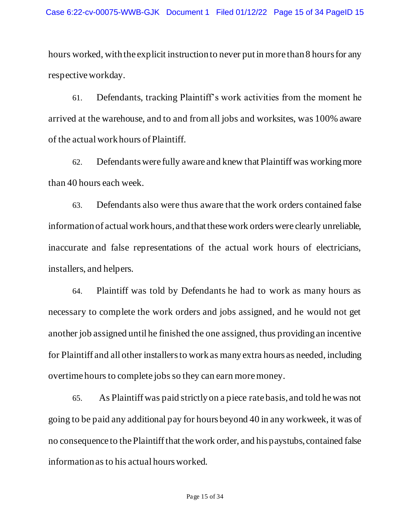hours worked, with the explicit instruction to never put in more than 8 hours for any respective workday.

61. Defendants, tracking Plaintiff's work activities from the moment he arrived at the warehouse, and to and from all jobs and worksites, was 100% aware of the actual work hours of Plaintiff.

62. Defendants were fully aware and knew that Plaintiff was working more than 40 hours each week.

63. Defendants also were thus aware that the work orders contained false information of actual work hours, and that these work orders were clearly unreliable, inaccurate and false representations of the actual work hours of electricians, installers, and helpers.

64. Plaintiff was told by Defendants he had to work as many hours as necessary to complete the work orders and jobs assigned, and he would not get another job assigned until he finished the one assigned, thus providing an incentive for Plaintiff and all other installers to work as many extra hours as needed, including overtime hours to complete jobs so they can earn more money.

65. As Plaintiff was paid strictly on a piece rate basis, and told he was not going to be paid any additional pay for hours beyond 40 in any workweek, it was of no consequence to the Plaintiff that the work order, and his paystubs, contained false information as to his actual hours worked.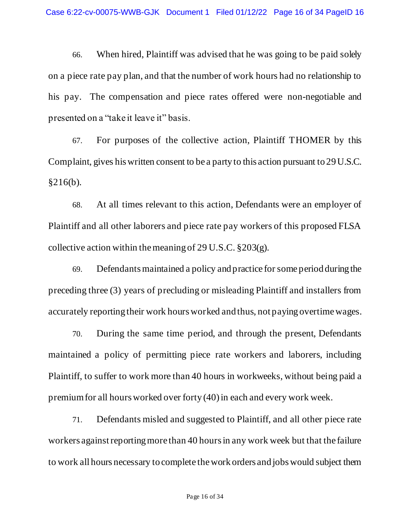66. When hired, Plaintiff was advised that he was going to be paid solely on a piece rate pay plan, and that the number of work hours had no relationship to his pay. The compensation and piece rates offered were non-negotiable and presented on a "take it leave it" basis.

67. For purposes of the collective action, Plaintiff THOMER by this Complaint, gives his written consent to be a party to this action pursuant to 29 U.S.C. §216(b).

68. At all times relevant to this action, Defendants were an employer of Plaintiff and all other laborers and piece rate pay workers of this proposed FLSA collective action within the meaning of 29 U.S.C.  $\S 203(g)$ .

69. Defendants maintained a policy and practice for some period during the preceding three (3) years of precluding or misleading Plaintiff and installers from accurately reporting their work hours worked and thus, not paying overtime wages.

70. During the same time period, and through the present, Defendants maintained a policy of permitting piece rate workers and laborers, including Plaintiff, to suffer to work more than 40 hours in workweeks, without being paid a premium for all hours worked over forty (40) in each and every work week.

71. Defendants misled and suggested to Plaintiff, and all other piece rate workers against reporting more than 40 hours in any work week but that the failure to work all hours necessary to complete the work orders and jobs would subject them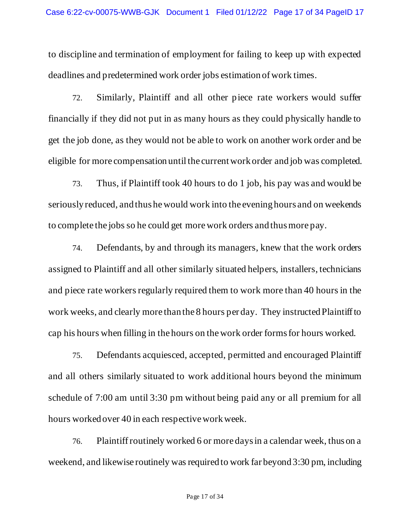to discipline and termination of employment for failing to keep up with expected deadlines and predetermined work order jobs estimation of work times.

72. Similarly, Plaintiff and all other piece rate workers would suffer financially if they did not put in as many hours as they could physically handle to get the job done, as they would not be able to work on another work order and be eligible for more compensation until the current work order and job was completed.

73. Thus, if Plaintiff took 40 hours to do 1 job, his pay was and would be seriously reduced, and thus he would work into the evening hours and on weekends to complete the jobs so he could get more work orders and thus more pay.

74. Defendants, by and through its managers, knew that the work orders assigned to Plaintiff and all other similarly situated helpers, installers, technicians and piece rate workers regularly required them to work more than 40 hours in the work weeks, and clearly more than the 8 hours per day. They instructed Plaintiff to cap his hours when filling in the hours on the work order forms for hours worked.

75. Defendants acquiesced, accepted, permitted and encouraged Plaintiff and all others similarly situated to work additional hours beyond the minimum schedule of 7:00 am until 3:30 pm without being paid any or all premium for all hours worked over 40 in each respective work week.

76. Plaintiff routinely worked 6 or more days in a calendar week, thus on a weekend, and likewise routinely was required to work far beyond 3:30 pm, including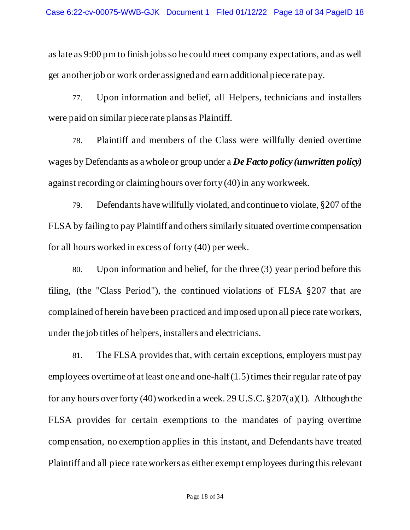as late as 9:00 pm to finish jobs so he could meet company expectations, and as well get another job or work order assigned and earn additional piece rate pay.

77. Upon information and belief, all Helpers, technicians and installers were paid on similar piece rate plans as Plaintiff.

78. Plaintiff and members of the Class were willfully denied overtime wages by Defendants as a whole or group under a *De Facto policy (unwritten policy)* against recording or claiming hours over forty (40) in any workweek.

79. Defendants have willfully violated, and continue to violate, §207 of the FLSA by failing to pay Plaintiff and others similarly situated overtime compensation for all hours worked in excess of forty (40) per week.

80. Upon information and belief, for the three (3) year period before this filing, (the "Class Period"), the continued violations of FLSA §207 that are complained of herein have been practiced and imposed upon all piece rate workers, under the job titles of helpers, installers and electricians.

81. The FLSA provides that, with certain exceptions, employers must pay employees overtime of at least one and one-half (1.5) times their regular rate of pay for any hours over forty (40) worked in a week. 29 U.S.C. §207(a)(1). Although the FLSA provides for certain exemptions to the mandates of paying overtime compensation, no exemption applies in this instant, and Defendants have treated Plaintiff and all piece rate workers as either exempt employees during this relevant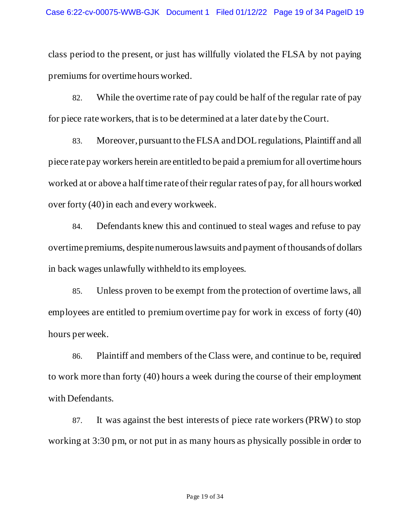class period to the present, or just has willfully violated the FLSA by not paying premiums for overtime hours worked.

82. While the overtime rate of pay could be half of the regular rate of pay for piece rate workers, that is to be determined at a later date by the Court.

83. Moreover, pursuant to the FLSA and DOL regulations, Plaintiff and all piece rate pay workers herein are entitled to be paid a premium for all overtime hours worked at or above a half time rate of their regular rates of pay, for all hours worked over forty (40) in each and every workweek.

84. Defendants knew this and continued to steal wages and refuse to pay overtime premiums, despite numerous lawsuits and payment of thousands of dollars in back wages unlawfully withheld to its employees.

85. Unless proven to be exempt from the protection of overtime laws, all employees are entitled to premium overtime pay for work in excess of forty (40) hours per week.

86. Plaintiff and members of the Class were, and continue to be, required to work more than forty (40) hours a week during the course of their employment with Defendants.

87. It was against the best interests of piece rate workers (PRW) to stop working at 3:30 pm, or not put in as many hours as physically possible in order to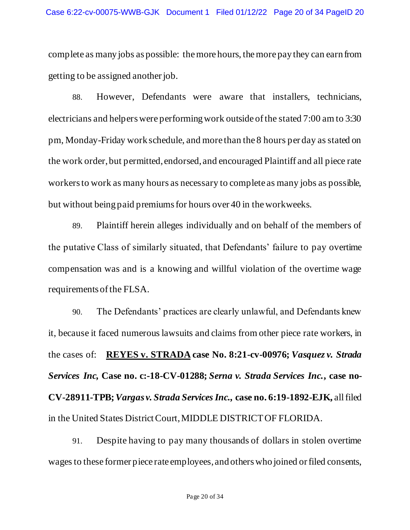complete as many jobs as possible: the more hours, the more pay they can earn from getting to be assigned another job.

88. However, Defendants were aware that installers, technicians, electricians and helpers were performing work outside of the stated 7:00 am to 3:30 pm, Monday-Friday work schedule, and more than the 8 hours per day as stated on the work order, but permitted, endorsed, and encouraged Plaintiff and all piece rate workers to work as many hours as necessary to complete as many jobs as possible, but without being paid premiums for hours over 40 in the workweeks.

89. Plaintiff herein alleges individually and on behalf of the members of the putative Class of similarly situated, that Defendants' failure to pay overtime compensation was and is a knowing and willful violation of the overtime wage requirements of the FLSA.

90. The Defendants' practices are clearly unlawful, and Defendants knew it, because it faced numerous lawsuits and claims from other piece rate workers, in the cases of: **REYES v. STRADA case No. 8:21-cv-00976;** *Vasquez v. Strada Services Inc,* **Case no. c:-18-CV-01288;** *Serna v. Strada Services Inc.***, case no-CV-28911-TPB;***Vargas v. Strada Services Inc.,* **case no. 6:19-1892-EJK,** all filed in the United States District Court, MIDDLE DISTRICT OF FLORIDA.

91. Despite having to pay many thousands of dollars in stolen overtime wages to these former piece rate employees, and others who joined or filed consents,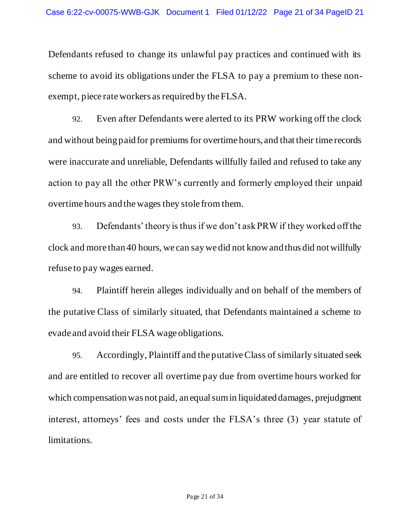Defendants refused to change its unlawful pay practices and continued with its scheme to avoid its obligations under the FLSA to pay a premium to these nonexempt, piece rate workers as required by the FLSA.

92. Even after Defendants were alerted to its PRW working off the clock and without being paid for premiums for overtime hours, and that their time records were inaccurate and unreliable, Defendants willfully failed and refused to take any action to pay all the other PRW's currently and formerly employed their unpaid overtime hours and the wages they stole from them.

93. Defendants' theory is thus if we don't ask PRW if they worked off the clock and more than 40 hours, we can say we did not know and thus did not willfully refuse to pay wages earned.

94. Plaintiff herein alleges individually and on behalf of the members of the putative Class of similarly situated, that Defendants maintained a scheme to evade and avoid their FLSA wage obligations.

95. Accordingly, Plaintiff and the putative Class of similarly situated seek and are entitled to recover all overtime pay due from overtime hours worked for which compensation was not paid, an equal sum in liquidated damages, prejudgment interest, attorneys' fees and costs under the FLSA's three (3) year statute of limitations.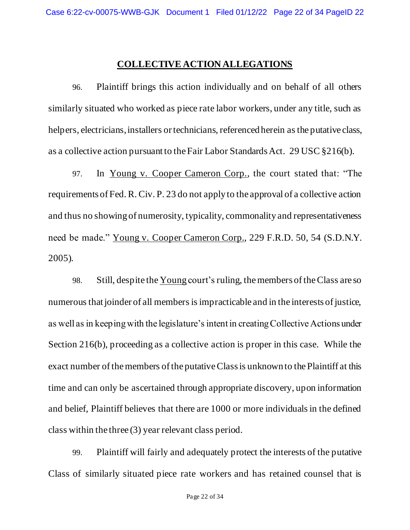### **COLLECTIVE ACTION ALLEGATIONS**

96. Plaintiff brings this action individually and on behalf of all others similarly situated who worked as piece rate labor workers, under any title, such as helpers, electricians, installers or technicians, referenced herein as the putative class, as a collective action pursuant to the Fair Labor Standards Act. 29 USC §216(b).

97. In Young v. Cooper Cameron Corp., the court stated that: "The requirements of Fed. R. Civ. P. 23 do not apply to the approval of a collective action and thus no showing of numerosity, typicality, commonality and representativeness need be made." Young v. Cooper Cameron Corp., 229 F.R.D. 50, 54 (S.D.N.Y. 2005)*.* 

98. Still, despite the Young court's ruling, the members of the Class are so numerous that joinder of all members is impracticable and in the interests of justice, as well as in keeping with the legislature's intent in creating Collective Actions under Section 216(b), proceeding as a collective action is proper in this case. While the exact number of the members of the putative Class is unknown to the Plaintiff at this time and can only be ascertained through appropriate discovery, upon information and belief, Plaintiff believes that there are 1000 or more individuals in the defined class within the three (3) year relevant class period.

99. Plaintiff will fairly and adequately protect the interests of the putative Class of similarly situated piece rate workers and has retained counsel that is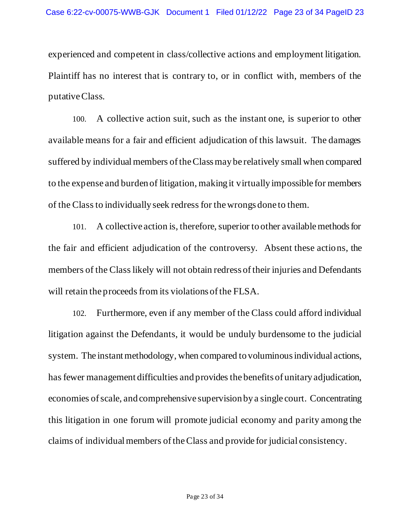experienced and competent in class/collective actions and employment litigation. Plaintiff has no interest that is contrary to, or in conflict with, members of the putative Class.

100. A collective action suit, such as the instant one, is superior to other available means for a fair and efficient adjudication of this lawsuit. The damages suffered by individual members of the Class may be relatively small when compared to the expense and burden of litigation, making it virtually impossible for members of the Class to individually seek redress for the wrongs done to them.

101. A collective action is, therefore, superior to other available methods for the fair and efficient adjudication of the controversy. Absent these actions, the members of the Class likely will not obtain redress of their injuries and Defendants will retain the proceeds from its violations of the FLSA.

102. Furthermore, even if any member of the Class could afford individual litigation against the Defendants, it would be unduly burdensome to the judicial system. The instant methodology, when compared to voluminous individual actions, has fewer management difficulties and provides the benefits of unitary adjudication, economies of scale, and comprehensive supervision by a single court. Concentrating this litigation in one forum will promote judicial economy and parity among the claims of individual members of the Class and provide for judicial consistency.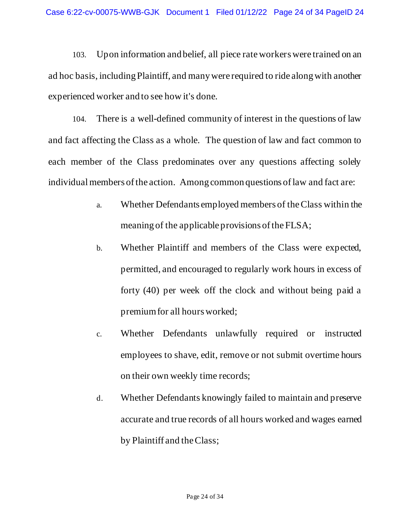103. Upon information and belief, all piece rate workers were trained on an ad hoc basis, including Plaintiff, and many were required to ride along with another experienced worker and to see how it's done.

104. There is a well-defined community of interest in the questions of law and fact affecting the Class as a whole. The question of law and fact common to each member of the Class predominates over any questions affecting solely individual members of the action. Among common questions of law and fact are:

- a. Whether Defendants employed members of the Class within the meaning of the applicable provisions of the FLSA;
- b. Whether Plaintiff and members of the Class were expected, permitted, and encouraged to regularly work hours in excess of forty (40) per week off the clock and without being paid a premium for all hours worked;
- c. Whether Defendants unlawfully required or instructed employees to shave, edit, remove or not submit overtime hours on their own weekly time records;
- d. Whether Defendants knowingly failed to maintain and preserve accurate and true records of all hours worked and wages earned by Plaintiff and the Class;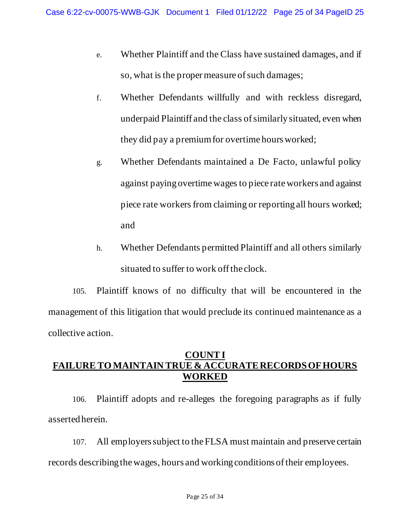- e. Whether Plaintiff and the Class have sustained damages, and if so, what is the proper measure of such damages;
- f. Whether Defendants willfully and with reckless disregard, underpaid Plaintiff and the class of similarly situated, even when they did pay a premium for overtime hours worked;
- g. Whether Defendants maintained a De Facto, unlawful policy against paying overtime wages to piece rate workers and against piece rate workers from claiming or reporting all hours worked; and
- h. Whether Defendants permitted Plaintiff and all others similarly situated to suffer to work off the clock.

105. Plaintiff knows of no difficulty that will be encountered in the management of this litigation that would preclude its continued maintenance as a collective action.

## **COUNT I FAILURE TO MAINTAIN TRUE & ACCURATE RECORDS OF HOURS WORKED**

106. Plaintiff adopts and re-alleges the foregoing paragraphs as if fully asserted herein.

107. All employers subject to the FLSA must maintain and preserve certain records describing the wages, hours and working conditions of their employees.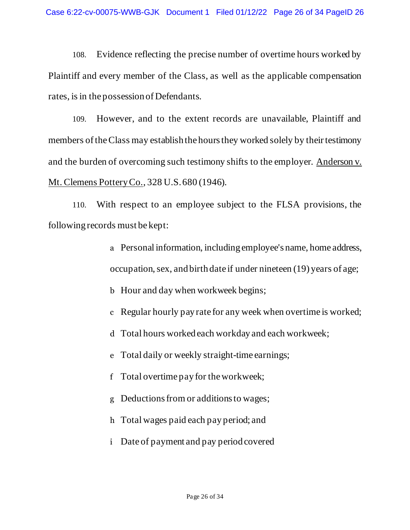108. Evidence reflecting the precise number of overtime hours worked by Plaintiff and every member of the Class, as well as the applicable compensation rates, is in the possession of Defendants.

109. However, and to the extent records are unavailable, Plaintiff and members of the Class may establish the hours they worked solely by their testimony and the burden of overcoming such testimony shifts to the employer. Anderson v. Mt. Clemens Pottery Co., 328 U.S. 680 (1946).

110. With respect to an employee subject to the FLSA provisions, the following records must be kept:

- a Personal information, including employee's name, home address, occupation, sex, and birth date if under nineteen (19) years of age;
- b Hour and day when workweek begins;
- c Regular hourly pay rate for any week when overtime is worked;
- d Total hours worked each workday and each workweek;
- e Total daily or weekly straight-time earnings;
- f Total overtime pay for the workweek;
- g Deductions from or additions to wages;
- h Total wages paid each pay period; and
- i Date of payment and pay period covered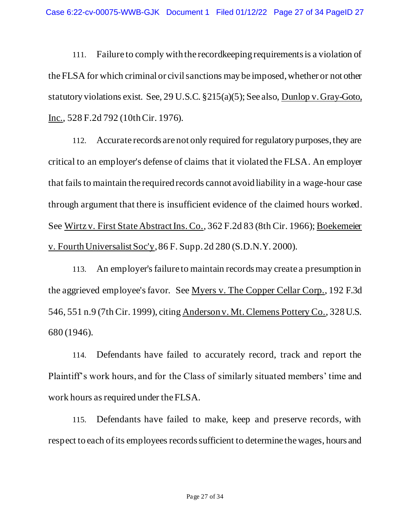111. Failure to comply with the recordkeeping requirements is a violation of the FLSA for which criminal or civil sanctions may be imposed, whether or not other statutory violations exist. See, 29 U.S.C. §215(a)(5); See also, Dunlop v. Gray-Goto, Inc., 528 F.2d 792 (10th Cir. 1976).

112. Accurate records are not only required for regulatory purposes, they are critical to an employer's defense of claims that it violated the FLSA. An employer that fails to maintain the required records cannot avoid liability in a wage-hour case through argument that there is insufficient evidence of the claimed hours worked. See Wirtz v. First State Abstract Ins. Co., 362 F.2d 83 (8th Cir. 1966); Boekemeier v. Fourth Universalist Soc'y, 86 F. Supp. 2d 280 (S.D.N.Y. 2000).

113. An employer's failure to maintain records may create a presumption in the aggrieved employee's favor. See Myers v. The Copper Cellar Corp., 192 F.3d 546, 551 n.9 (7th Cir. 1999), citing Anderson v. Mt. Clemens Pottery Co., 328 U.S. 680 (1946).

114. Defendants have failed to accurately record, track and report the Plaintiff's work hours, and for the Class of similarly situated members' time and work hours as required under the FLSA.

115. Defendants have failed to make, keep and preserve records, with respect to each of its employees records sufficient to determine the wages, hours and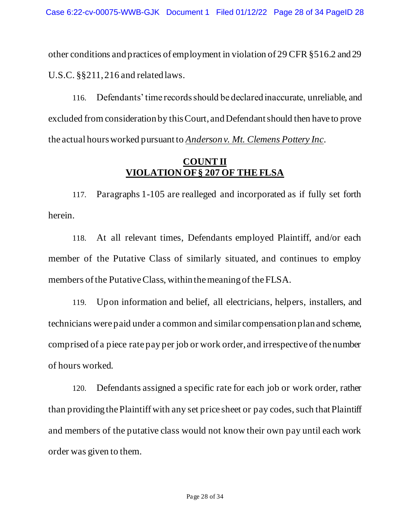other conditions and practices of employment in violation of 29 CFR §516.2 and 29 U.S.C. §§211, 216 and related laws.

116. Defendants' time records should be declared inaccurate, unreliable, and excluded from consideration by this Court, and Defendant should then have to prove the actual hours worked pursuant to *Anderson v. Mt. Clemens Pottery Inc*.

## **COUNT II VIOLATION OF § 207 OF THE FLSA**

117. Paragraphs 1-105 are realleged and incorporated as if fully set forth herein.

118. At all relevant times, Defendants employed Plaintiff, and/or each member of the Putative Class of similarly situated, and continues to employ members of the Putative Class, within the meaning of the FLSA.

119. Upon information and belief, all electricians, helpers, installers, and technicians were paid under a common and similar compensation plan and scheme, comprised of a piece rate pay per job or work order, and irrespective of the number of hours worked.

120. Defendants assigned a specific rate for each job or work order, rather than providing the Plaintiff with any set price sheet or pay codes, such that Plaintiff and members of the putative class would not know their own pay until each work order was given to them.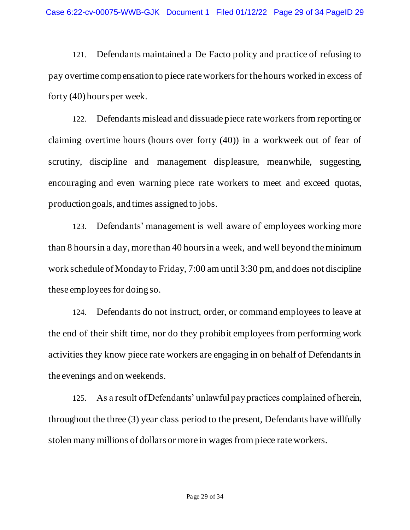121. Defendants maintained a De Facto policy and practice of refusing to pay overtime compensation to piece rate workers for the hours worked in excess of forty (40) hours per week.

122. Defendants mislead and dissuade piece rate workers from reporting or claiming overtime hours (hours over forty (40)) in a workweek out of fear of scrutiny, discipline and management displeasure, meanwhile, suggesting, encouraging and even warning piece rate workers to meet and exceed quotas, production goals, and times assigned to jobs.

123. Defendants' management is well aware of employees working more than 8 hours in a day, more than 40 hours in a week, and well beyond the minimum work schedule of Monday to Friday, 7:00 am until 3:30 pm, and does not discipline these employees for doing so.

124. Defendants do not instruct, order, or command employees to leave at the end of their shift time, nor do they prohibit employees from performing work activities they know piece rate workers are engaging in on behalf of Defendants in the evenings and on weekends.

125. As a result of Defendants' unlawful pay practices complained of herein, throughout the three (3) year class period to the present, Defendants have willfully stolen many millions of dollars or more in wages from piece rate workers.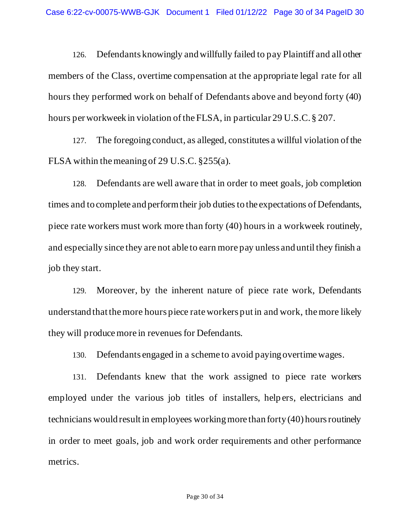126. Defendants knowingly and willfully failed to pay Plaintiff and all other members of the Class, overtime compensation at the appropriate legal rate for all hours they performed work on behalf of Defendants above and beyond forty (40) hours per workweek in violation of the FLSA, in particular 29 U.S.C. § 207.

127. The foregoing conduct, as alleged, constitutes a willful violation of the FLSA within the meaning of 29 U.S.C. §255(a).

128. Defendants are well aware that in order to meet goals, job completion times and to complete and perform their job duties to the expectations of Defendants, piece rate workers must work more than forty (40) hours in a workweek routinely, and especially since they are not able to earn more pay unless and until they finish a job they start.

129. Moreover, by the inherent nature of piece rate work, Defendants understand that the more hours piece rate workers put in and work, the more likely they will produce more in revenues for Defendants.

130. Defendants engaged in a scheme to avoid paying overtime wages.

131. Defendants knew that the work assigned to piece rate workers employed under the various job titles of installers, help ers, electricians and technicians would result in employees working more than forty (40) hours routinely in order to meet goals, job and work order requirements and other performance metrics.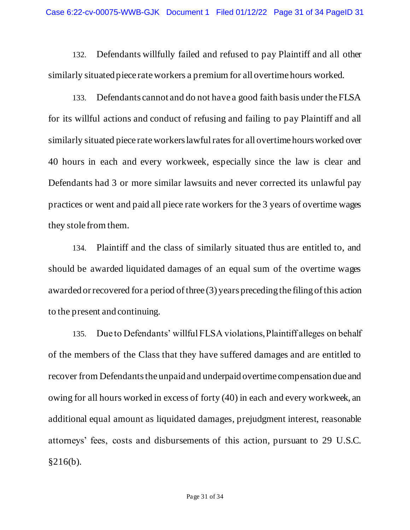132. Defendants willfully failed and refused to pay Plaintiff and all other similarly situated piece rate workers a premium for all overtime hours worked.

133. Defendants cannot and do not have a good faith basis under the FLSA for its willful actions and conduct of refusing and failing to pay Plaintiff and all similarly situated piece rate workers lawful rates for all overtime hours worked over 40 hours in each and every workweek, especially since the law is clear and Defendants had 3 or more similar lawsuits and never corrected its unlawful pay practices or went and paid all piece rate workers for the 3 years of overtime wages they stole from them.

134. Plaintiff and the class of similarly situated thus are entitled to, and should be awarded liquidated damages of an equal sum of the overtime wages awarded or recovered for a period of three (3) years preceding the filing of this action to the present and continuing.

135. Due to Defendants' willful FLSA violations, Plaintiff alleges on behalf of the members of the Class that they have suffered damages and are entitled to recover from Defendants the unpaid and underpaid overtime compensation due and owing for all hours worked in excess of forty (40) in each and every workweek, an additional equal amount as liquidated damages, prejudgment interest, reasonable attorneys' fees, costs and disbursements of this action, pursuant to 29 U.S.C.  $§216(b).$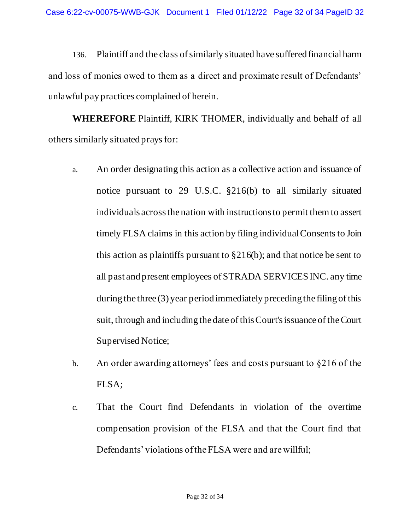136. Plaintiff and the class of similarly situated have suffered financial harm and loss of monies owed to them as a direct and proximate result of Defendants' unlawful pay practices complained of herein.

**WHEREFORE** Plaintiff, KIRK THOMER, individually and behalf of all others similarly situated prays for:

- a. An order designating this action as a collective action and issuance of notice pursuant to 29 U.S.C. §216(b) to all similarly situated individuals across the nation with instructions to permit them to assert timely FLSA claims in this action by filing individual Consents to Join this action as plaintiffs pursuant to §216(b); and that notice be sent to all past and present employees of STRADA SERVICES INC. any time during the three (3) year period immediately preceding the filing of this suit, through and including the date of this Court's issuance of the Court Supervised Notice;
- b. An order awarding attorneys' fees and costs pursuant to §216 of the FLSA;
- c. That the Court find Defendants in violation of the overtime compensation provision of the FLSA and that the Court find that Defendants' violations of the FLSA were and are willful;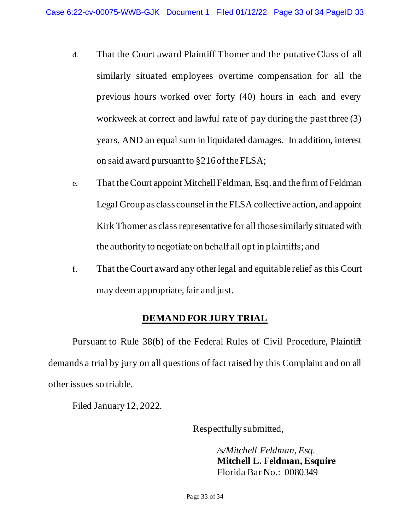- d. That the Court award Plaintiff Thomer and the putative Class of all similarly situated employees overtime compensation for all the previous hours worked over forty (40) hours in each and every workweek at correct and lawful rate of pay during the past three (3) years, AND an equal sum in liquidated damages. In addition, interest on said award pursuant to §216 of the FLSA;
- e. That the Court appoint Mitchell Feldman, Esq. and the firm of Feldman Legal Group as class counsel in the FLSA collective action, and appoint Kirk Thomer as class representative for all those similarly situated with the authority to negotiate on behalf all opt in plaintiffs; and
- f. That the Court award any other legal and equitable relief as this Court may deem appropriate, fair and just.

# **DEMAND FOR JURY TRIAL**

Pursuant to Rule 38(b) of the Federal Rules of Civil Procedure, Plaintiff demands a trial by jury on all questions of fact raised by this Complaint and on all other issues so triable.

Filed January 12, 2022.

Respectfully submitted,

*/s/Mitchell Feldman, Esq.*  **Mitchell L. Feldman, Esquire**  Florida Bar No.: 0080349